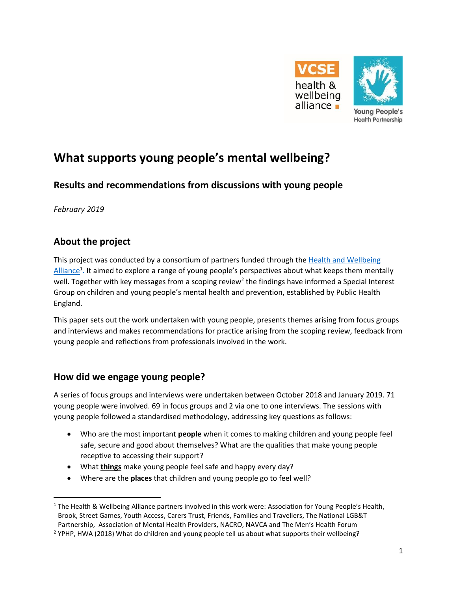



# **What supports young people's mental wellbeing?**

# **Results and recommendations from discussions with young people**

*February 2019* 

# **About the project**

This project was conducted by a consortium of partners funded through the [Health and Wellbeing](https://www.england.nhs.uk/hwalliance/)  [Alliance](https://www.england.nhs.uk/hwalliance/)<sup>1</sup>. It aimed to explore a range of young people's perspectives about what keeps them mentally well. Together with key messages from a scoping review<sup>2</sup> the findings have informed a Special Interest Group on children and young people's mental health and prevention, established by Public Health England.

This paper sets out the work undertaken with young people, presents themes arising from focus groups and interviews and makes recommendations for practice arising from the scoping review, feedback from young people and reflections from professionals involved in the work.

### **How did we engage young people?**

A series of focus groups and interviews were undertaken between October 2018 and January 2019. 71 young people were involved. 69 in focus groups and 2 via one to one interviews. The sessions with young people followed a standardised methodology, addressing key questions as follows:

- Who are the most important **people** when it comes to making children and young people feel safe, secure and good about themselves? What are the qualities that make young people receptive to accessing their support?
- What **things** make young people feel safe and happy every day?
- Where are the **places** that children and young people go to feel well?

<sup>&</sup>lt;sup>1</sup> The Health & Wellbeing Alliance partners involved in this work were: Association for Young People's Health, Brook, Street Games, Youth Access, Carers Trust, Friends, Families and Travellers, The National LGB&T Partnership, Association of Mental Health Providers, NACRO, NAVCA and The Men's Health Forum

<sup>&</sup>lt;sup>2</sup> YPHP, HWA (2018) What do children and young people tell us about what supports their wellbeing?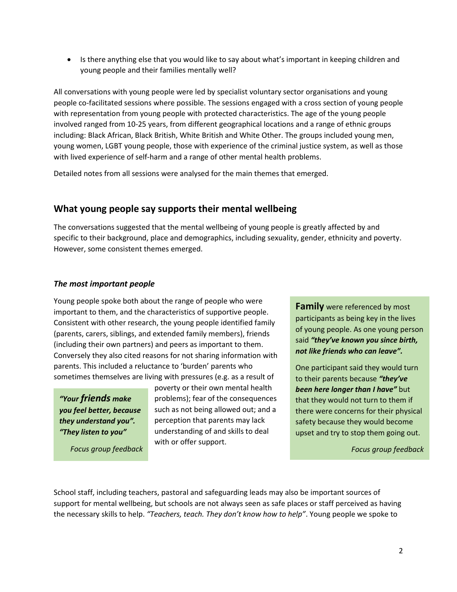• Is there anything else that you would like to say about what's important in keeping children and young people and their families mentally well?

All conversations with young people were led by specialist voluntary sector organisations and young people co-facilitated sessions where possible. The sessions engaged with a cross section of young people with representation from young people with protected characteristics. The age of the young people involved ranged from 10-25 years, from different geographical locations and a range of ethnic groups including: Black African, Black British, White British and White Other. The groups included young men, young women, LGBT young people, those with experience of the criminal justice system, as well as those with lived experience of self-harm and a range of other mental health problems.

Detailed notes from all sessions were analysed for the main themes that emerged.

### **What young people say supports their mental wellbeing**

The conversations suggested that the mental wellbeing of young people is greatly affected by and specific to their background, place and demographics, including sexuality, gender, ethnicity and poverty. However, some consistent themes emerged.

#### *The most important people*

Young people spoke both about the range of people who were important to them, and the characteristics of supportive people. Consistent with other research, the young people identified family (parents, carers, siblings, and extended family members), friends (including their own partners) and peers as important to them. Conversely they also cited reasons for not sharing information with parents. This included a reluctance to 'burden' parents who sometimes themselves are living with pressures (e.g. as a result of

*"Your friends make you feel better, because they understand you". "They listen to you"*

*Focus group feedback*

poverty or their own mental health problems); fear of the consequences such as not being allowed out; and a perception that parents may lack understanding of and skills to deal with or offer support.

**Family** were referenced by most participants as being key in the lives of young people. As one young person said *"they've known you since birth, not like friends who can leave".*

One participant said they would turn to their parents because *"they've*  **been here longer than I have"** but that they would not turn to them if there were concerns for their physical safety because they would become upset and try to stop them going out.

*Focus group feedback*

School staff, including teachers, pastoral and safeguarding leads may also be important sources of support for mental wellbeing, but schools are not always seen as safe places or staff perceived as having the necessary skills to help. *"Teachers, teach. They don't know how to help"*. Young people we spoke to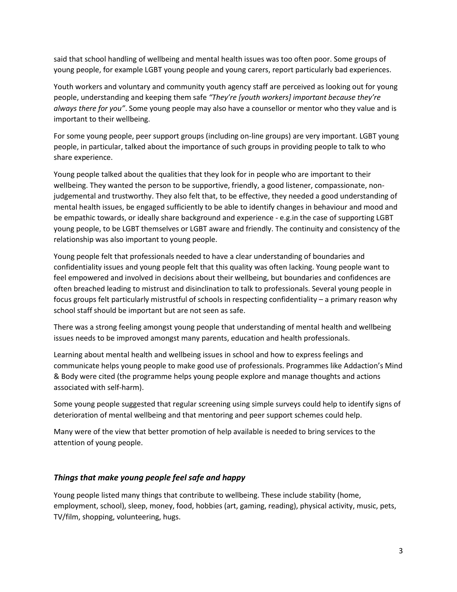said that school handling of wellbeing and mental health issues was too often poor. Some groups of young people, for example LGBT young people and young carers, report particularly bad experiences.

Youth workers and voluntary and community youth agency staff are perceived as looking out for young people, understanding and keeping them safe *"They're [youth workers] important because they're always there for you"*. Some young people may also have a counsellor or mentor who they value and is important to their wellbeing.

For some young people, peer support groups (including on-line groups) are very important. LGBT young people, in particular, talked about the importance of such groups in providing people to talk to who share experience.

Young people talked about the qualities that they look for in people who are important to their wellbeing. They wanted the person to be supportive, friendly, a good listener, compassionate, nonjudgemental and trustworthy. They also felt that, to be effective, they needed a good understanding of mental health issues, be engaged sufficiently to be able to identify changes in behaviour and mood and be empathic towards, or ideally share background and experience - e.g.in the case of supporting LGBT young people, to be LGBT themselves or LGBT aware and friendly. The continuity and consistency of the relationship was also important to young people.

Young people felt that professionals needed to have a clear understanding of boundaries and confidentiality issues and young people felt that this quality was often lacking. Young people want to feel empowered and involved in decisions about their wellbeing, but boundaries and confidences are often breached leading to mistrust and disinclination to talk to professionals. Several young people in focus groups felt particularly mistrustful of schools in respecting confidentiality – a primary reason why school staff should be important but are not seen as safe.

There was a strong feeling amongst young people that understanding of mental health and wellbeing issues needs to be improved amongst many parents, education and health professionals.

Learning about mental health and wellbeing issues in school and how to express feelings and communicate helps young people to make good use of professionals. Programmes like Addaction's Mind & Body were cited (the programme helps young people explore and manage thoughts and actions associated with self-harm).

Some young people suggested that regular screening using simple surveys could help to identify signs of deterioration of mental wellbeing and that mentoring and peer support schemes could help.

Many were of the view that better promotion of help available is needed to bring services to the attention of young people.

#### *Things that make young people feel safe and happy*

Young people listed many things that contribute to wellbeing. These include stability (home, employment, school), sleep, money, food, hobbies (art, gaming, reading), physical activity, music, pets, TV/film, shopping, volunteering, hugs.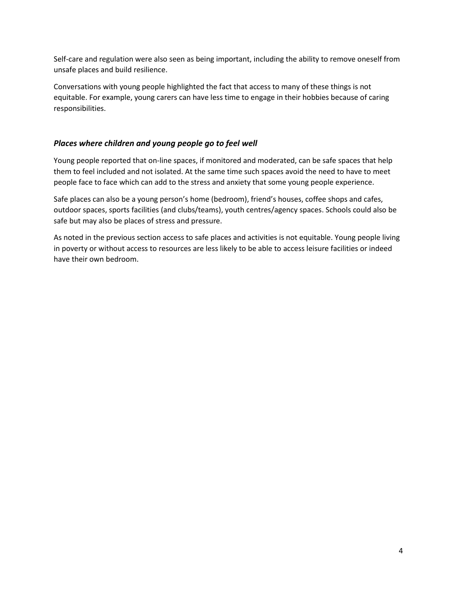Self-care and regulation were also seen as being important, including the ability to remove oneself from unsafe places and build resilience.

Conversations with young people highlighted the fact that access to many of these things is not equitable. For example, young carers can have less time to engage in their hobbies because of caring responsibilities.

#### *Places where children and young people go to feel well*

Young people reported that on-line spaces, if monitored and moderated, can be safe spaces that help them to feel included and not isolated. At the same time such spaces avoid the need to have to meet people face to face which can add to the stress and anxiety that some young people experience.

Safe places can also be a young person's home (bedroom), friend's houses, coffee shops and cafes, outdoor spaces, sports facilities (and clubs/teams), youth centres/agency spaces. Schools could also be safe but may also be places of stress and pressure.

As noted in the previous section access to safe places and activities is not equitable. Young people living in poverty or without access to resources are less likely to be able to access leisure facilities or indeed have their own bedroom.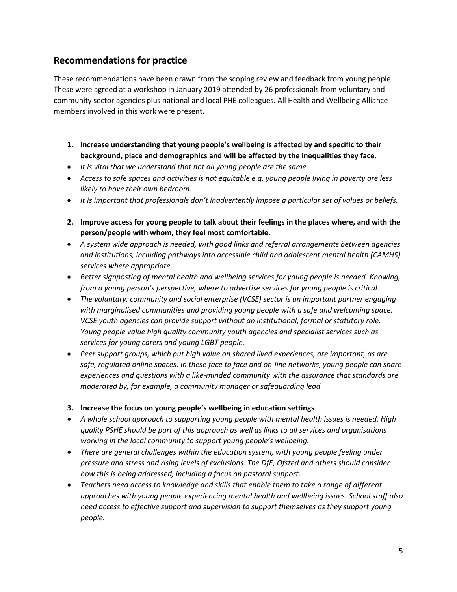## **Recommendations for practice**

These recommendations have been drawn from the scoping review and feedback from young people. These were agreed at a workshop in January 2019 attended by 26 professionals from voluntary and community sector agencies plus national and local PHE colleagues. All Health and Wellbeing Alliance members involved in this work were present.

- **1. Increase understanding that young people's wellbeing is affected by and specific to their background, place and demographics and will be affected by the inequalities they face.**
- *It is vital that we understand that not all young people are the same.*
- *Access to safe spaces and activities is not equitable e.g. young people living in poverty are less likely to have their own bedroom.*
- It is important that professionals don't inadvertently impose a particular set of values or beliefs.
- **2. Improve access for young people to talk about their feelings in the places where, and with the person/people with whom, they feel most comfortable.**
- *A system wide approach is needed, with good links and referral arrangements between agencies and institutions, including pathways into accessible child and adolescent mental health (CAMHS) services where appropriate.*
- *Better signposting of mental health and wellbeing services for young people is needed. Knowing, from a young person's perspective, where to advertise services for young people is critical.*
- *The voluntary, community and social enterprise (VCSE) sector is an important partner engaging with marginalised communities and providing young people with a safe and welcoming space. VCSE youth agencies can provide support without an institutional, formal or statutory role. Young people value high quality community youth agencies and specialist services such as services for young carers and young LGBT people.*
- *Peer support groups, which put high value on shared lived experiences, are important, as are safe, regulated online spaces. In these face to face and on-line networks, young people can share experiences and questions with a like-minded community with the assurance that standards are moderated by, for example, a community manager or safeguarding lead.*

#### **3. Increase the focus on young people's wellbeing in education settings**

- *A whole school approach to supporting young people with mental health issues is needed. High quality PSHE should be part of this approach as well as links to all services and organisations working in the local community to support young people's wellbeing.*
- *There are general challenges within the education system, with young people feeling under pressure and stress and rising levels of exclusions. The DfE, Ofsted and others should consider how this is being addressed, including a focus on pastoral support.*
- *Teachers need access to knowledge and skills that enable them to take a range of different approaches with young people experiencing mental health and wellbeing issues. School staff also need access to effective support and supervision to support themselves as they support young people.*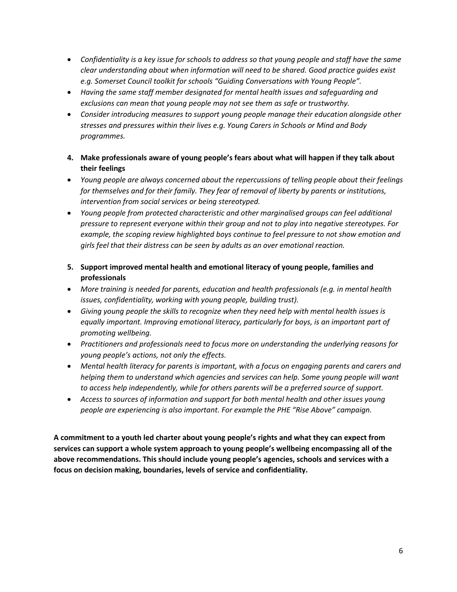- *Confidentiality is a key issue for schools to address so that young people and staff have the same clear understanding about when information will need to be shared. Good practice guides exist e.g. Somerset Council toolkit for schools "Guiding Conversations with Young People".*
- *Having the same staff member designated for mental health issues and safeguarding and exclusions can mean that young people may not see them as safe or trustworthy.*
- *Consider introducing measures to support young people manage their education alongside other stresses and pressures within their lives e.g. Young Carers in Schools or Mind and Body programmes.*
- **4. Make professionals aware of young people's fears about what will happen if they talk about their feelings**
- *Young people are always concerned about the repercussions of telling people about their feelings for themselves and for their family. They fear of removal of liberty by parents or institutions, intervention from social services or being stereotyped.*
- *Young people from protected characteristic and other marginalised groups can feel additional pressure to represent everyone within their group and not to play into negative stereotypes. For example, the scoping review highlighted boys continue to feel pressure to not show emotion and girls feel that their distress can be seen by adults as an over emotional reaction.*
- **5. Support improved mental health and emotional literacy of young people, families and professionals**
- *More training is needed for parents, education and health professionals (e.g. in mental health issues, confidentiality, working with young people, building trust).*
- *Giving young people the skills to recognize when they need help with mental health issues is equally important. Improving emotional literacy, particularly for boys, is an important part of promoting wellbeing.*
- *Practitioners and professionals need to focus more on understanding the underlying reasons for young people's actions, not only the effects.*
- *Mental health literacy for parents is important, with a focus on engaging parents and carers and helping them to understand which agencies and services can help. Some young people will want to access help independently, while for others parents will be a preferred source of support.*
- *Access to sources of information and support for both mental health and other issues young people are experiencing is also important. For example the PHE "Rise Above" campaign.*

**A commitment to a youth led charter about young people's rights and what they can expect from services can support a whole system approach to young people's wellbeing encompassing all of the above recommendations. This should include young people's agencies, schools and services with a focus on decision making, boundaries, levels of service and confidentiality.**